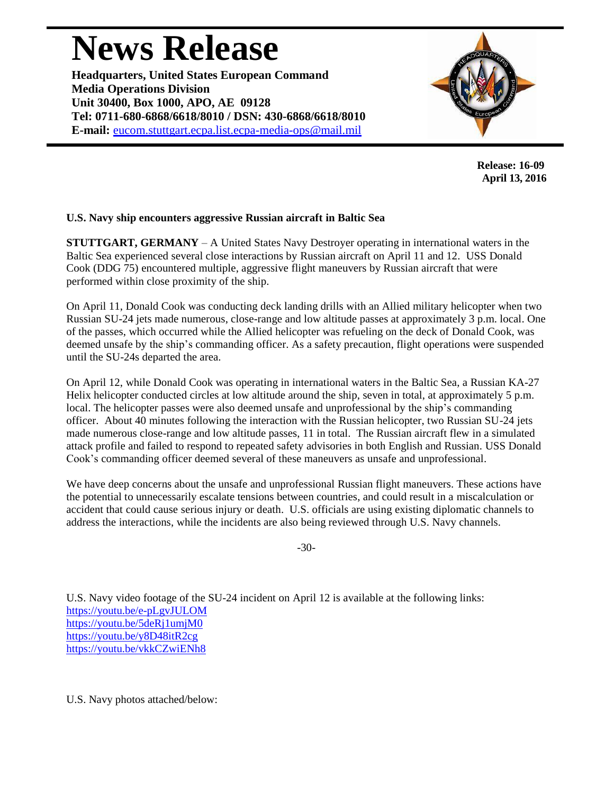## **News Release**

**Headquarters, United States European Command Media Operations Division Unit 30400, Box 1000, APO, AE 09128 Tel: 0711-680-6868/6618/8010 / DSN: 430-6868/6618/8010 E-mail:** [eucom.stuttgart.ecpa.list.ecpa-media-ops@mail.mil](mailto:eucom.stuttgart.ecpa.list.ecpa-media-ops@mail.mil)



**Release: 16-09 April 13, 2016**

## **U.S. Navy ship encounters aggressive Russian aircraft in Baltic Sea**

**STUTTGART, GERMANY** – A United States Navy Destroyer operating in international waters in the Baltic Sea experienced several close interactions by Russian aircraft on April 11 and 12. USS Donald Cook (DDG 75) encountered multiple, aggressive flight maneuvers by Russian aircraft that were performed within close proximity of the ship.

On April 11, Donald Cook was conducting deck landing drills with an Allied military helicopter when two Russian SU-24 jets made numerous, close-range and low altitude passes at approximately 3 p.m. local. One of the passes, which occurred while the Allied helicopter was refueling on the deck of Donald Cook, was deemed unsafe by the ship's commanding officer. As a safety precaution, flight operations were suspended until the SU-24s departed the area.

On April 12, while Donald Cook was operating in international waters in the Baltic Sea, a Russian KA-27 Helix helicopter conducted circles at low altitude around the ship, seven in total, at approximately 5 p.m. local. The helicopter passes were also deemed unsafe and unprofessional by the ship's commanding officer. About 40 minutes following the interaction with the Russian helicopter, two Russian SU-24 jets made numerous close-range and low altitude passes, 11 in total. The Russian aircraft flew in a simulated attack profile and failed to respond to repeated safety advisories in both English and Russian. USS Donald Cook's commanding officer deemed several of these maneuvers as unsafe and unprofessional.

We have deep concerns about the unsafe and unprofessional Russian flight maneuvers. These actions have the potential to unnecessarily escalate tensions between countries, and could result in a miscalculation or accident that could cause serious injury or death. U.S. officials are using existing diplomatic channels to address the interactions, while the incidents are also being reviewed through U.S. Navy channels.

-30-

U.S. Navy video footage of the SU-24 incident on April 12 is available at the following links: <https://youtu.be/e-pLgvJULOM> <https://youtu.be/5deRj1umjM0> <https://youtu.be/y8D48itR2cg> <https://youtu.be/vkkCZwiENh8>

U.S. Navy photos attached/below: